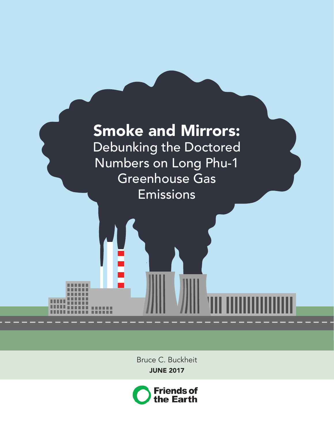

Bruce C. Buckheit JUNE 2017

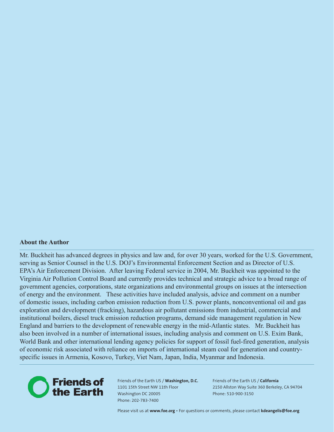#### **About the Author**

Mr. Buckheit has advanced degrees in physics and law and, for over 30 years, worked for the U.S. Government, serving as Senior Counsel in the U.S. DOJ's Environmental Enforcement Section and as Director of U.S. EPA's Air Enforcement Division. After leaving Federal service in 2004, Mr. Buckheit was appointed to the Virginia Air Pollution Control Board and currently provides technical and strategic advice to a broad range of government agencies, corporations, state organizations and environmental groups on issues at the intersection of energy and the environment. These activities have included analysis, advice and comment on a number of domestic issues, including carbon emission reduction from U.S. power plants, nonconventional oil and gas exploration and development (fracking), hazardous air pollutant emissions from industrial, commercial and institutional boilers, diesel truck emission reduction programs, demand side management regulation in New England and barriers to the development of renewable energy in the mid-Atlantic states. Mr. Buckheit has also been involved in a number of international issues, including analysis and comment on U.S. Exim Bank, World Bank and other international lending agency policies for support of fossil fuel-fired generation, analysis of economic risk associated with reliance on imports of international steam coal for generation and countryspecific issues in Armenia, Kosovo, Turkey, Viet Nam, Japan, India, Myanmar and Indonesia.



Friends of the Earth US / **Washington, D.C.** 1101 15th Street NW 11th Floor Washington DC 20005 Phone: 202-783-7400

Friends of the Earth US / **California** 2150 Allston Way Suite 360 Berkeley, CA 94704 Phone: 510-900-3150

Please visit us at **[www.foe.org](http://)** • For questions or comments, please contact **[kdeangelis@foe.org](mailto:kdeangelis%40foe.org?subject=)**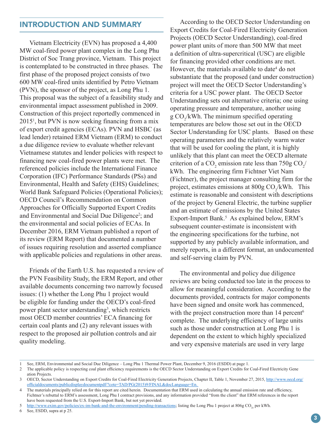### INTRODUCTION AND SUMMARY

Vietnam Electricity (EVN) has proposed a 4,400 MW coal-fired power plant complex in the Long Phu District of Soc Trang province, Vietnam. This project is contemplated to be constructed in three phases. The first phase of the proposed project consists of two 600 MW coal-fired units identified by Petro Vietnam (PVN), the sponsor of the project, as Long Phu 1. This proposal was the subject of a feasibility study and environmental impact assessment published in 2009. Construction of this project reportedly commenced in 20151 , but PVN is now seeking financing from a mix of export credit agencies (ECAs). PVN and HSBC (as lead lender) retained ERM Vietnam (ERM) to conduct a due diligence review to evaluate whether relevant Vietnamese statutes and lender policies with respect to financing new coal-fired power plants were met. The referenced policies include the International Finance Corporation (IFC) Performance Standards (PSs) and Environmental, Health and Safety (EHS) Guidelines; World Bank Safeguard Policies (Operational Policies); OECD Council's Recommendation on Common Approaches for Officially Supported Export Credits and Environmental and Social Due Diligence<sup>2</sup>; and the environmental and social policies of ECAs. In December 2016, ERM Vietnam published a report of its review (ERM Report) that documented a number of issues requiring resolution and asserted compliance with applicable policies and regulations in other areas.

Friends of the Earth U.S. has requested a review of the PVN Feasibility Study, the ERM Report, and other available documents concerning two narrowly focused issues: (1) whether the Long Phu 1 project would be eligible for funding under the OECD's coal-fired power plant sector understanding<sup>3</sup>, which restricts most OECD member countries' ECA financing for certain coal plants and (2) any relevant issues with respect to the proposed air pollution controls and air quality modeling.

 According to the OECD Sector Understanding on Export Credits for Coal-Fired Electricity Generation Projects (OECD Sector Understanding), coal-fired power plant units of more than 500 MW that meet a definition of ultra-supercritical (USC) are eligible for financing provided other conditions are met. However, the materials available to date<sup>4</sup> do not substantiate that the proposed (and under construction) project will meet the OECD Sector Understanding's criteria for a USC power plant. The OECD Sector Understanding sets out alternative criteria; one using operating pressure and temperature, another using  $g \text{CO}_2/kWh$ . The minimum specified operating temperatures are below those set out in the OECD Sector Understanding for USC plants. Based on these operating parameters and the relatively warm water that will be used for cooling the plant, it is highly unlikely that this plant can meet the OECD alternate criterion of a CO<sub>2</sub> emission rate less than 750g CO<sub>2</sub>/ kWh. The engineering firm Fichtner Viet Nam (Fichtner), the project manager consulting firm for the project, estimates emissions at  $800g \text{ CO}_2/\text{kWh}$ . This estimate is reasonable and consistent with descriptions of the project by General Electric, the turbine supplier and an estimate of emissions by the United States Export-Import Bank.<sup>5</sup> As explained below, ERM's subsequent counter-estimate is inconsistent with the engineering specifications for the turbine, not supported by any publicly available information, and merely reports, in a different format, an undocumented and self-serving claim by PVN.

The environmental and policy due diligence reviews are being conducted too late in the process to allow for meaningful consideration. According to the documents provided, contracts for major components have been signed and onsite work has commenced, with the project construction more than 14 percent<sup>6</sup> complete. The underlying efficiency of large units such as those under construction at Long Phu 1 is dependent on the extent to which highly specialized and very expensive materials are used in very large

<sup>1</sup> See, ERM, Environmental and Social Due Diligence – Long Phu 1 Thermal Power Plant, December 9, 2016 (ESDD) at page 1.

<sup>2</sup> The applicable policy is respecting coal plant efficiency requirements is the OECD Sector Understanding on Export Credits for Coal-Fired Electricity Gene ation Projects.

<sup>3</sup> OECD, Sector Understanding on Export Credits for Coal-Fired Electricity Generation Projects, Chapter II, Table 1, November 27, 2015, [http://www.oecd.org/](http://www.oecd.org/officialdocuments/publicdisplaydocumentpdf/?cote=TAD/PG(2015)9/FINAL&docLanguage=En) [officialdocuments/publicdisplaydocumentpdf/?cote=TAD/PG\(2015\)9/FINAL&docLanguage=En.](http://www.oecd.org/officialdocuments/publicdisplaydocumentpdf/?cote=TAD/PG(2015)9/FINAL&docLanguage=En)

<sup>4</sup> The materials principally relied on for this report are cited herein. Documentation that ERM used in calculating the annual emission rate and efficiency, Fichtner's rebuttal to ERM's assessment, Long Phu I contract provisions, and any information provided "from the client" that ERM references in the report have been requested from the U.S. Export-Import Bank, but not yet provided.

<sup>5</sup> <http://www.exim.gov/policies/ex-im-bank-and-the-environment/pending-transactions>; listing the Long Phu 1 project at 806g CO<sub>2e</sub> per kWh.<br>6 See. ESDD. supra at p 25.

See, ESDD, supra at p 25.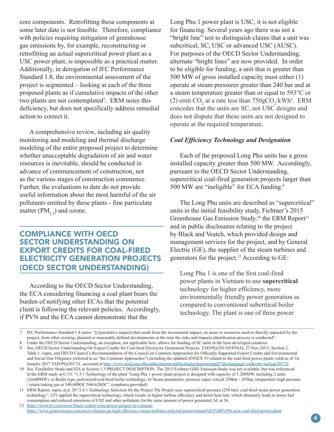core components. Retrofitting these components at some later date is not feasible. Therefore, compliance with policies requiring mitigation of greenhouse gas emissions by, for example, reconstructing or retrofitting an actual supercritical power plant as a USC power plant, is impossible as a practical matter. Additionally, in derogation of IFC Performance Standard 1.8, the environmental assessment of the project is segmented – looking at each of the three proposed plants as if cumulative impacts of the other two plants are not contemplated<sup>7</sup>. ERM notes this deficiency, but does not specifically address remedial action to correct it.

A comprehensive review, including air quality monitoring and modeling and thermal discharge modeling of the entire proposed project to determine whether unacceptable degradation of air and water resources is inevitable, should be conducted in advance of commencement of construction, not as the various stages of construction commence. Further, the evaluations to date do not provide useful information about the most harmful of the air pollutants emitted by these plants - fine particulate matter ( $PM_{2,5}$ ) and ozone.

### COMPLIANCE WITH OECD SECTOR UNDERSTANDING ON EXPORT CREDITS FOR COAL-FIRED ELECTRICITY GENERATION PROJECTS (OECD SECTOR UNDERSTANDING)

According to the OECD Sector Understanding, the ECA considering financing a coal plant bears the burden of notifying other ECAs that the potential client is following the relevant policies. Accordingly, if PVN and the ECA cannot demonstrate that the

Long Phu 1 power plant is USC, it is not eligible for financing. Several years ago there was not a "bright line" test to distinguish claims that a unit was subcritical, SC, USC or advanced USC (AUSC). For purposes of the OECD Sector Understanding, alternate "bright lines" are now provided. In order to be eligible for funding, a unit that is greater than 500 MW of gross installed capacity must either (1) operate at steam pressures greater than 240 bar and at a steam temperature greater than or equal to 593°C or (2) emit  $CO_2$  at a rate less than  $750gCO_2/kWh^8$ . ERM concedes that the units are SC, not USC designs and does not dispute that these units are not designed to operate at the required temperature.

#### *Coal Efficiency Technology and Designation*

Each of the proposed Long Phu units has a gross installed capacity greater than 500 MW. Accordingly, pursuant to the OECD Sector Understanding, supercritical coal-fired generation projects larger than 500 MW are "ineligible" for ECA funding.9 

The Long Phu units are described as "supercritical" units in the initial feasibility study, Fichtner's 2015 Greenhouse Gas Emission Study,<sup>10</sup> the ERM Report<sup>11</sup> and in public disclosures relating to the project by Black and Veatch, which provided design and management services for the project, and by General Electric (GE), the supplier of the steam turbines and generators for the project.12 According to GE:

Long Phu 1 is one of the first coal-fired power plants in Vietnam to use **supercritical** technology for higher efficiency, more environmentally friendly power generation as compared to conventional subcritical boiler technology. The plant is one of three power

<https://www.genewsroom.com/press-releases/ge-high-efficiency-steam-turbines-selected-petrovietnam%E2%80%99s-new-coal-fired-power-plant>

<sup>7</sup> IFC Performance Standard 1.8 states: "[c]umulative impacts that result from the incremental impact, on areas or resources used or directly impacted by the project, from other existing, planned or reasonably defined developments at the time the risks and impacts identification process is conducted".

<sup>8</sup> Under the OECD Sector Understanding, an exception, not applicable here, allows for funding of SC units in the least developed countries.

See, OECD Sector Understanding On Export Credits for Coal-fired Electricity Generation Projects, TAD/PG(2015)9/FINAL 27-Nov-2015, Section 2, Table 1, supra, and OECD Council's Recommendation of the Council on Common Approaches for Officially Supported Export Credits and Environmental and Social Due Diligence (referred to as "the Common Approaches") including the updated ANNEX VI related to the coal-fired power plants valid as of 1st January 2017 TAD/PG(2017)1, accessed at [http://www.oecd.org/officialdocuments/publicdisplaydocumentpdf/?doclanguage=en&cote=tad/pg\(2017\)1](http://www.oecd.org/officialdocuments/publicdisplaydocumentpdf/?doclanguage=en&cote=tad/pg(2017)1)

<sup>10</sup> See, Feasibility Study and EIA at Section 1.5 PROJECT DESCRIPTION. The 2015 Fichtner GHG Emission Study was not available, but was referenced in the ERM study at C-53. "1.5.1 Technology of the plant "Long Phu 1 power plant project is designed with capacity of 1.200MW, including 2 units (2x600MW). a) Boiler type: pulverized-coal-fired boiler technology; b) Steam parameters: pressure super critical 250bar - 285bar, temperature high pressure / return baking gas at 540-600OC/560-620OC". (emphasis provided)

<sup>11</sup> ERM Report, supra, at p. 20 "2.4.1 Technology Selection for the Project The Project uses supercritical pressure (258 bar), coal-fired steam power generation technology", LP1 applied the supercritical technology, which results in higher turbine efficiency and better heat rate, which ultimately leads to lower fuel consumption and reduced emissions of CO2 and other pollutants for the same amount of power generated. Id. at 56. 12 <https://www.bv.com/news/black-veatch-wins-power-project-in-vietnam>;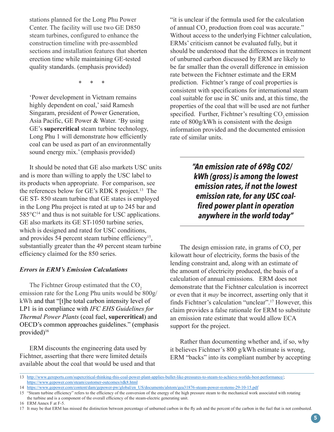stations planned for the Long Phu Power Center. The facility will use two GE D850 steam turbines, configured to enhance the construction timeline with pre-assembled sections and installation features that shorten erection time while maintaining GE-tested quality standards. (emphasis provided)

\* \* \*

'Power development in Vietnam remains highly dependent on coal,' said Ramesh Singaram, president of Power Generation, Asia Pacific, GE Power & Water. 'By using GE's **supercritical** steam turbine technology, Long Phu 1 will demonstrate how efficiently coal can be used as part of an environmentally sound energy mix.' (emphasis provided)

It should be noted that GE also markets USC units and is more than willing to apply the USC label to its products when appropriate. For comparison, see the references below for GE's RDK 8 project.13 The GE ST- 850 steam turbine that GE states is employed in the Long Phu project is rated at up to 245 bar and  $585^{\circ}C^{14}$  and thus is not suitable for USC applications. GE also markets its GE ST-1050 turbine series, which is designed and rated for USC conditions, and provides 54 percent steam turbine efficiency<sup>15</sup>, substantially greater than the 49 percent steam turbine efficiency claimed for the 850 series.

#### *Errors in ERM's Emission Calculations*

The Fichtner Group estimated that the CO<sub>2</sub> emission rate for the Long Phu units would be 800g/ kWh and that "[t]he total carbon intensity level of LP1 is in compliance with *IFC EHS Guidelines for Thermal Power Plants* (coal fuel, **supercritical**) and OECD's common approaches guidelines." (emphasis provided)<sup>16</sup>

ERM discounts the engineering data used by Fichtner, asserting that there were limited details available about the coal that would be used and that

"it is unclear if the formula used for the calculation of annual  $CO<sub>2</sub>$  production from coal was accurate." Without access to the underlying Fichtner calculation, ERMs' criticism cannot be evaluated fully, but it should be understood that the differences in treatment of unburned carbon discussed by ERM are likely to be far smaller than the overall difference in emission rate between the Fichtner estimate and the ERM prediction. Fichtner's range of coal properties is consistent with specifications for international steam coal suitable for use in SC units and, at this time, the properties of the coal that will be used are not further specified. Further, Fichtner's resulting CO<sub>2</sub> emission rate of 800g/kWh is consistent with the design information provided and the documented emission rate of similar units.

> *"An emission rate of 698g CO2/ kWh (gross) is among the lowest emission rates, if not the lowest emission rate, for any USC coalfired power plant in operation anywhere in the world today"*

The design emission rate, in grams of  $CO<sub>2</sub>$  per kilowatt hour of electricity, forms the basis of the lending constraint and, along with an estimate of the amount of electricity produced, the basis of a calculation of annual emissions. ERM does not demonstrate that the Fichtner calculation is incorrect or even that it *may* be incorrect, asserting only that it finds Fichtner's calculation "unclear".17 However, this claim provides a false rationale for ERM to substitute an emission rate estimate that would allow ECA support for the project.

Rather than documenting whether and, if so, why it believes Fichtner's 800 g/kWh estimate is wrong, ERM "backs" into its compliant number by accepting

16 ERM Annex F at F-5.

<sup>13</sup> <http://www.gereports.com/supercritical-thinking-this-coal-power-plant-applies-bullet-like-pressures-to-steam-to-achieve-worlds-best-performance/>; <https://www.gepower.com/steam/customer-outcomes/rdk8.html>

<sup>14</sup> [https://www.gepower.com/content/dam/gepower-pw/global/en\\_US/documents/alstom/gea31876-steam-power-systems-29-10-15.pdf](https://www.gepower.com/content/dam/gepower-pw/global/en_US/documents/alstom/gea31876-steam-power-systems-29-10-15.pdf)

<sup>15 &</sup>quot;Steam turbine efficiency" refers to the efficiency of the conversion of the energy of the high pressure steam to the mechanical work associated with rotating the turbine and is a component of the overall efficiency of the steam-electric generating unit.

<sup>17</sup> It may be that ERM has missed the distinction between percentage of unburned carbon in the fly ash and the percent of the carbon in the fuel that is not combusted.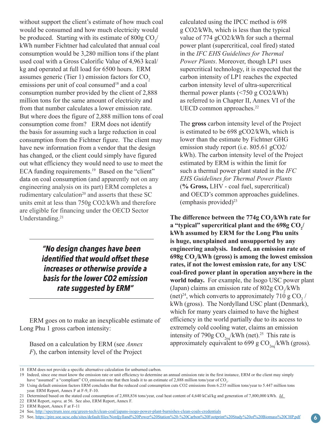without support the client's estimate of how much coal would be consumed and how much electricity would be produced. Starting with its estimate of 800g  $CO_2/$ kWh number Fichtner had calculated that annual coal consumption would be 3,280 million tons if the plant used coal with a Gross Calorific Value of 4,963 kcal/ kg and operated at full load for 6500 hours. ERM assumes generic (Tier 1) emission factors for  $CO<sub>2</sub>$ emissions per unit of coal consumed<sup>18</sup> and a coal consumption number provided by the client of 2,888 million tons for the same amount of electricity and from that number calculates a lower emission rate. But where does the figure of 2,888 million tons of coal consumption come from? ERM does not identify the basis for assuming such a large reduction in coal consumption from the Fichtner figure. The client may have new information from a vendor that the design has changed, or the client could simply have figured out what efficiency they would need to use to meet the ECA funding requirements.<sup>19</sup> Based on the "client" data on coal consumption (and apparently not on any engineering analysis on its part) ERM completes a rudimentary calculation<sup>20</sup> and asserts that these  $SC$ units emit at less than 750g CO2/kWh and therefore are eligible for financing under the OECD Sector Understanding. 21

> *"No design changes have been identified that would offset these increases or otherwise provide a basis for the lower CO2 emission rate suggested by ERM"*

ERM goes on to make an inexplicable estimate of Long Phu 1 gross carbon intensity:

Based on a calculation by ERM (see *Annex F*), the carbon intensity level of the Project

calculated using the IPCC method is 698 g CO2/kWh, which is less than the typical value of 774 gCO2/kWh for such a thermal power plant (supercritical, coal fired) stated in the *IFC EHS Guidelines for Thermal Power Plants*. Moreover, though LP1 uses supercritical technology, it is expected that the carbon intensity of LP1 reaches the expected carbon intensity level of ultra-supercritical thermal power plants (<750 g CO2/kWh) as referred to in Chapter II, Annex VI of the UECD common approaches.<sup>22</sup>

The **gross** carbon intensity level of the Project is estimated to be 698 gCO2/kWh, which is lower than the estimate by Fichtner GHG emission study report (i.e. 805.61 gCO2/ kWh). The carbon intensity level of the Project estimated by ERM is within the limit for such a thermal power plant stated in the *IFC EHS Guidelines for Thermal Power Plants*  (**% Gross,** LHV - coal fuel, supercritical) and OECD's common approaches guidelines. (emphasis provided) $^{23}$ 

The difference between the 774g CO<sub>2</sub>/kWh rate for **a** "typical" supercritical plant and the  $698$ g CO<sub>2</sub>/ **kWh assumed by ERM for the Long Phu units is huge, unexplained and unsupported by any engineering analysis. Indeed, an emission rate of 698g CO2 /kWh (gross) is among the lowest emission rates, if not the lowest emission rate, for any USC coal-fired power plant in operation anywhere in the world today.** For example, the Isogo USC power plant (Japan) claims an emission rate of  $802g \text{ CO}_2/\text{kWh}$ (net)<sup>24</sup>, which converts to approximately 710 g CO<sub>2</sub> / kWh (gross). The Nordylland USC plant (Denmark), which for many years claimed to have the highest efficiency in the world partially due to its access to extremely cold cooling water, claims an emission intensity of 790g  $CO<sub>2eq</sub>/kWh$  (net).<sup>25</sup> This rate is approximately equivalent to 699 g  $CO<sub>2eq</sub>/kWh$  (gross).

- 22 ERM Report, *supra,* at 56. See also, ERM Report, Annex F.
- 23 ERM Report, Annex F at F-11

<sup>18</sup> ERM does not provide a specific alternative calculation for unburned carbon.

<sup>19</sup> Indeed, since one must know the emission rate or unit efficiency to determine an annual emission rate in the first instance, ERM or the client may simply have "assumed" a "compliant" CO<sub>2</sub> emission rate that then leads it to an estimate of 2,888 million tons/year of CO<sub>2</sub>.

<sup>20</sup> Using default emission factors ERM concludes that the reduced coal consumption cuts CO2 emissions from 6.235 million tons/year to 5.447 million tons year. ERM Report, Annex F at F-9, F-10.

<sup>21</sup> Determined based on the stated coal consumption of 2,888,836 tons/year, coal heat content of 4,640 kCal/kg and generation of 7,800,000 kWh. *Id.* 

<sup>24</sup> See,<http://spectrum.ieee.org/green-tech/clean-coal/japans-isogo-power-plant-burnishes-clean-coals-credentials>

<sup>25</sup> See, [https://pire.soe.ucsc.edu/sites/default/files/Nordjylland%20Power%20Station%20-%20Carbon%20Footprint%20Study%20of%20Biomass%20CHP.pdf](https://pire.soe.ucsc.edu/sites/default/files/Nordjylland%20Power%20Station%20-%20Carbon%20Footprint)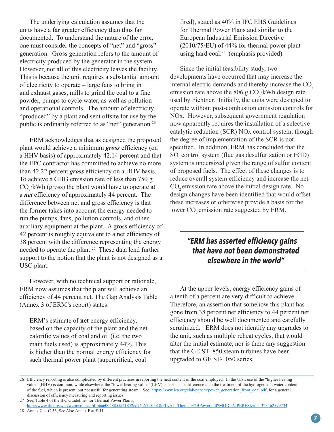The underlying calculation assumes that the units have a far greater efficiency than thus far documented. To understand the nature of the error, one must consider the concepts of "net" and "gross" generation. Gross generation refers to the amount of electricity produced by the generator in the system. However, not all of this electricity leaves the facility. This is because the unit requires a substantial amount of electricity to operate – large fans to bring in and exhaust gases, mills to grind the coal to a fine powder, pumps to cycle water, as well as pollution and operational controls. The amount of electricity "produced" by a plant and sent offsite for use by the public is ordinarily referred to as "net" generation.26

ERM acknowledges that as designed the proposed plant would achieve a minimum *gross* efficiency (on a HHV basis) of approximately 42.14 percent and that the EPC contractor has committed to achieve no more than 42.22 percent *gross* efficiency on a HHV basis. To achieve a GHG emission rate of less than 750 g  $CO_2/kWh$  (gross) the plant would have to operate at a *net* efficiency of approximately 44 percent. The difference between net and gross efficiency is that the former takes into account the energy needed to run the pumps, fans, pollution controls, and other auxiliary equipment at the plant. A gross efficiency of 42 percent is roughly equivalent to a net efficiency of 38 percent with the difference representing the energy needed to operate the plant.27 These data lend further support to the notion that the plant is not designed as a USC plant.

However, with no technical support or rationale, ERM now assumes that the plant will achieve an efficiency of 44 percent net. The Gap Analysis Table (Annex 3 of ERM's report) states:

ERM's estimate of **net** energy efficiency, based on the capacity of the plant and the net calorific values of coal and oil (i.e. the two main fuels used) is approximately 44%. This is higher than the normal energy efficiency for such thermal power plant (supercritical, coal

fired), stated as 40% in IFC EHS Guidelines for Thermal Power Plans and similar to the European Industrial Emission Directive (2010/75/EU) of 44% for thermal power plant using hard coal. $28$  (emphasis provided).

Since the initial feasibility study, two developments have occurred that may increase the internal electric demands and thereby increase the  $CO<sub>2</sub>$ emission rate above the 806 g  $CO_2/kWh$  design rate used by Fichtner. Initially, the units were designed to operate without post-combustion emission controls for NOx. However, subsequent government regulation now apparently requires the installation of a selective catalytic reduction (SCR) NOx control system, though the degree of implementation of the SCR is not specified. In addition, ERM has concluded that the SO<sub>2</sub> control system (flue gas desulfurization or FGD) system is undersized given the range of sulfur content of proposed fuels. The effect of these changes is to reduce overall system efficiency and increase the net CO<sub>2</sub> emission rate above the initial design rate. No design changes have been identified that would offset these increases or otherwise provide a basis for the lower CO<sub>2</sub> emission rate suggested by ERM.

# *"ERM has asserted efficiency gains that have not been demonstrated elsewhere in the world"*

At the upper levels, energy efficiency gains of a tenth of a percent are very difficult to achieve. Therefore, an assertion that somehow this plant has gone from 38 percent net efficiency to 44 percent net efficiency should be well documented and carefully scrutinized. ERM does not identify any upgrades to the unit, such as multiple reheat cycles, that would alter the initial estimate, nor is there any suggestion that the GE ST- 850 steam turbines have been upgraded to GE ST-1050 series.

<sup>26</sup> Efficiency reporting is also complicated by different practices in reporting the heat content of the coal employed. In the U.S., use of the "higher heating value" (HHV) is common, while elsewhere, the "lower heating value" (LHV) is used. The difference is in the treatment of the hydrogen and water content of the fuel, which is present, but not useful for generating steam. See, [https://www.iea.org/ciab/papers/power\\_generation\\_from\\_coal.pdf,](https://www.iea.org/ciab/papers/power_generation_from_coal.pdf) for a general discussion of efficiency measuring and reporting issues.

<sup>27</sup> See, Table 4 of the IFC Guidelines for Thermal Power Plants,

[http://www.ifc.org/wps/wcm/connect/dfb6a60048855a21852cd76a6515bb18/FINAL\\_Themal%2BPower.pdf?MOD=AJPERES&id=1323162579734](http://www.ifc.org/wps/wcm/connect/dfb6a60048855a21852cd76a6515bb18/FINAL_Themal%2BPower.pdf?MOD=AJPERES&id=1323162579734)

<sup>28</sup> Annex C at C-53, See Also Annex F at F-11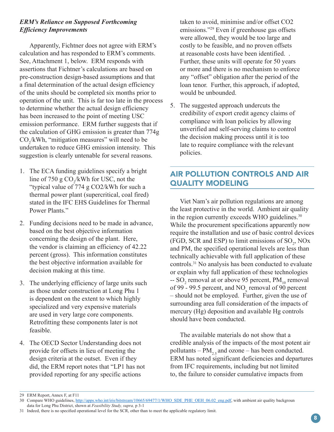#### *ERM's Reliance on Supposed Forthcoming Efficiency Improvements*

Apparently, Fichtner does not agree with ERM's calculation and has responded to ERM's comments. See, Attachment 1, below. ERM responds with assertions that Fichtner's calculations are based on pre-construction design-based assumptions and that a final determination of the actual design efficiency of the units should be completed six months prior to operation of the unit. This is far too late in the process to determine whether the actual design efficiency has been increased to the point of meeting USC emission performance. ERM further suggests that if the calculation of GHG emission is greater than 774g  $CO_2/kWh$ , "mitigation measures" will need to be undertaken to reduce GHG emission intensity. This suggestion is clearly untenable for several reasons.

- 1. The ECA funding guidelines specify a bright line of 750 g  $CO_2/kWh$  for USC, not the "typical value of 774 g CO2/kWh for such a thermal power plant (supercritical, coal fired) stated in the IFC EHS Guidelines for Thermal Power Plants."
- 2. Funding decisions need to be made in advance, based on the best objective information concerning the design of the plant. Here, the vendor is claiming an efficiency of 42.22 percent (gross). This information constitutes the best objective information available for decision making at this time.
- 3. The underlying efficiency of large units such as those under construction at Long Phu 1 is dependent on the extent to which highly specialized and very expensive materials are used in very large core components. Retrofitting these components later is not feasible.
- 4. The OECD Sector Understanding does not provide for offsets in lieu of meeting the design criteria at the outset. Even if they did, the ERM report notes that "LP1 has not provided reporting for any specific actions

taken to avoid, minimise and/or offset CO2 emissions."29 Even if greenhouse gas offsets were allowed, they would be too large and costly to be feasible, and no proven offsets at reasonable costs have been identified. . Further, these units will operate for 50 years or more and there is no mechanism to enforce any "offset" obligation after the period of the loan tenor. Further, this approach, if adopted, would be unbounded.

5. The suggested approach undercuts the credibility of export credit agency claims of compliance with loan policies by allowing unverified and self-serving claims to control the decision making process until it is too late to require compliance with the relevant policies.

# AIR POLLUTION CONTROLS AND AIR QUALITY MODELING

Viet Nam's air pollution regulations are among the least protective in the world. Ambient air quality in the region currently exceeds WHO guidelines.<sup>30</sup> While the procurement specifications apparently now require the installation and use of basic control devices (FGD, SCR and ESP) to limit emissions of  $SO_2$ , NOx and PM, the specified operational levels are less than technically achievable with full application of these controls.31 No analysis has been conducted to evaluate or explain why full application of these technologies  $-$  SO<sub>2</sub> removal at or above 95 percent,  $PM_{10}$  removal of 99 - 99.5 percent, and  $NO<sub>x</sub>$  removal of 90 percent – should not be employed. Further, given the use of surrounding area full consideration of the impacts of mercury (Hg) deposition and available Hg controls should have been conducted.

The available materials do not show that a credible analysis of the impacts of the most potent air pollutants –  $PM_{2.5}$  and ozone – has been conducted. ERM has noted significant deficiencies and departures from IFC requirements, including but not limited to, the failure to consider cumulative impacts from

<sup>29</sup> ERM Report, Annex F, at F11

<sup>30</sup> Compare WHO guidelines, [http://apps.who.int/iris/bitstream/10665/69477/1/WHO\\_SDE\\_PHE\\_OEH\\_06.02\\_eng.pdf,](http://apps.who.int/iris/bitstream/10665/69477/1/WHO_SDE_PHE_OEH_06.02_eng.pdf) with ambient air quality backgroun data for Long Phu District, shown at *Feasibility Study, supra,* p 3-1

<sup>31</sup> Indeed, there is no specified operational level for the SCR, other than to meet the applicable regulatory limit.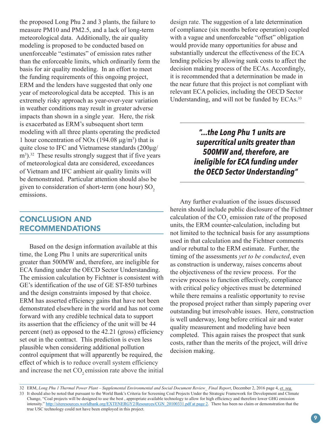the proposed Long Phu 2 and 3 plants, the failure to measure PM10 and PM2.5, and a lack of long-term meteorological data. Additionally, the air quality modeling is proposed to be conducted based on unenforceable "estimates" of emission rates rather than the enforceable limits, which ordinarily form the basis for air quality modeling. In an effort to meet the funding requirements of this ongoing project, ERM and the lenders have suggested that only one year of meteorological data be accepted. This is an extremely risky approach as year-over-year variation in weather conditions may result in greater adverse impacts than shown in a single year. Here, the risk is exacerbated as ERM's subsequent short term modeling with all three plants operating the predicted 1 hour concentration of NOx  $(194.08 \,\mu\text{g/m}^3)$  that is quite close to IFC and Vietnamese standards (200μg/ m<sup>3</sup>).<sup>32</sup> These results strongly suggest that if five years of meteorological data are considered, exceedances of Vietnam and IFC ambient air quality limits will be demonstrated. Particular attention should also be given to consideration of short-term (one hour)  $SO<sub>2</sub>$ emissions.

## CONCLUSION AND RECOMMENDATIONS

Based on the design information available at this time, the Long Phu 1 units are supercritical units greater than 500MW and, therefore, are ineligible for ECA funding under the OECD Sector Understanding. The emission calculation by Fichtner is consistent with GE's identification of the use of GE ST-850 turbines and the design constraints imposed by that choice. ERM has asserted efficiency gains that have not been demonstrated elsewhere in the world and has not come forward with any credible technical data to support its assertion that the efficiency of the unit will be 44 percent (net) as opposed to the 42.21 (gross) efficiency set out in the contract. This prediction is even less plausible when considering additional pollution control equipment that will apparently be required, the effect of which is to reduce overall system efficiency and increase the net  $CO<sub>2</sub>$  emission rate above the initial

design rate. The suggestion of a late determination of compliance (six months before operation) coupled with a vague and unenforceable "offset" obligation would provide many opportunities for abuse and substantially undercut the effectiveness of the ECA lending policies by allowing sunk costs to affect the decision making process of the ECAs. Accordingly, it is recommended that a determination be made in the near future that this project is not compliant with relevant ECA policies, including the OECD Sector Understanding, and will not be funded by ECAs.<sup>33</sup>

> *"...the Long Phu 1 units are supercritical units greater than 500MW and, therefore, are ineligible for ECA funding under the OECD Sector Understanding"*

Any further evaluation of the issues discussed herein should include public disclosure of the Fichtner calculation of the  $CO_2$  emission rate of the proposed units, the ERM counter-calculation, including but not limited to the technical basis for any assumptions used in that calculation and the Fichtner comments and/or rebuttal to the ERM estimate. Further, the timing of the assessments *yet to be conducted*, even as construction is underway, raises concerns about the objectiveness of the review process. For the review process to function effectively, compliance with critical policy objectives must be determined while there remains a realistic opportunity to revise the proposed project rather than simply papering over outstanding but irresolvable issues. Here, construction is well underway, long before critical air and water quality measurement and modeling have been completed. This again raises the prospect that sunk costs, rather than the merits of the project, will drive decision making.

<sup>32</sup> ERM, *Long Phu 1 Thermal Power Plant – Supplemental Environmental and Social Document Review\_ Final Report*, December 2, 2016 page 4, *et. seq.* 33 It should also be noted that pursuant to the World Bank's Criteria for Screening Coal Projects Under the Strategic Framework for Development and Climate Change, "Coal projects will be designed to use the best , appropriate available technology to allow for high efficiency and therefore lower GHG emission intensity." [http://siteresources.worldbank.org/EXTENERGY2/Resources/CGN\\_20100331.pdf at page 2](http://siteresources.worldbank.org/EXTENERGY2/Resources/CGN_20100331.pdf). There has been no claim or demonstration that the true USC technology could not have been employed in this project.